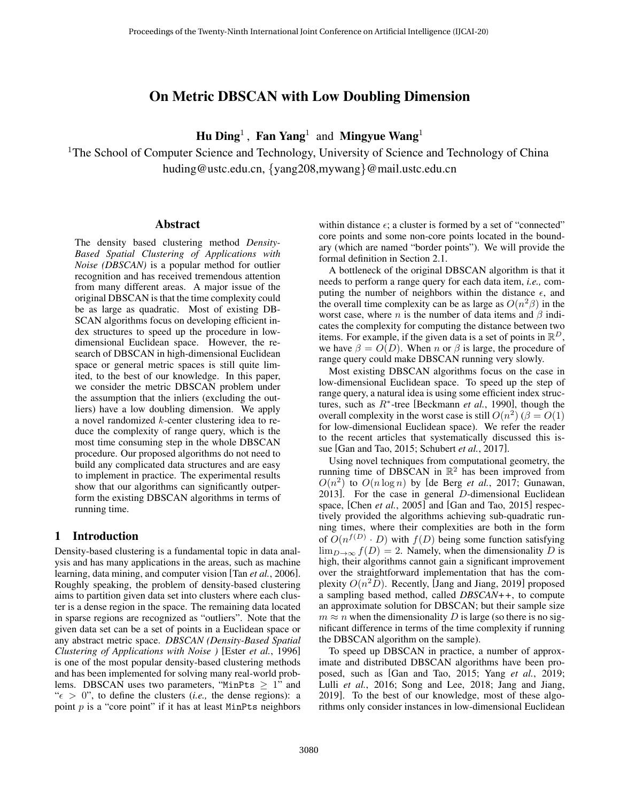# On Metric DBSCAN with Low Doubling Dimension

Hu Ding<sup>1</sup>, Fan Yang<sup>1</sup> and Mingyue Wang<sup>1</sup>

<sup>1</sup>The School of Computer Science and Technology, University of Science and Technology of China huding@ustc.edu.cn, {yang208,mywang}@mail.ustc.edu.cn

#### Abstract

The density based clustering method *Density-Based Spatial Clustering of Applications with Noise (DBSCAN)* is a popular method for outlier recognition and has received tremendous attention from many different areas. A major issue of the original DBSCAN is that the time complexity could be as large as quadratic. Most of existing DB-SCAN algorithms focus on developing efficient index structures to speed up the procedure in lowdimensional Euclidean space. However, the research of DBSCAN in high-dimensional Euclidean space or general metric spaces is still quite limited, to the best of our knowledge. In this paper, we consider the metric DBSCAN problem under the assumption that the inliers (excluding the outliers) have a low doubling dimension. We apply a novel randomized k-center clustering idea to reduce the complexity of range query, which is the most time consuming step in the whole DBSCAN procedure. Our proposed algorithms do not need to build any complicated data structures and are easy to implement in practice. The experimental results show that our algorithms can significantly outperform the existing DBSCAN algorithms in terms of running time.

## 1 Introduction

Density-based clustering is a fundamental topic in data analysis and has many applications in the areas, such as machine learning, data mining, and computer vision [Tan *et al.*[, 2006\]](#page-6-0). Roughly speaking, the problem of density-based clustering aims to partition given data set into clusters where each cluster is a dense region in the space. The remaining data located in sparse regions are recognized as "outliers". Note that the given data set can be a set of points in a Euclidean space or any abstract metric space. *DBSCAN (Density-Based Spatial Clustering of Applications with Noise )* [Ester *et al.*[, 1996\]](#page-6-1) is one of the most popular density-based clustering methods and has been implemented for solving many real-world problems. DBSCAN uses two parameters, "MinPts  $\geq 1$ " and " $\epsilon > 0$ ", to define the clusters (*i.e.*, the dense regions): a point  $p$  is a "core point" if it has at least MinPts neighbors within distance  $\epsilon$ ; a cluster is formed by a set of "connected" core points and some non-core points located in the boundary (which are named "border points"). We will provide the formal definition in Section [2.1.](#page-1-0)

A bottleneck of the original DBSCAN algorithm is that it needs to perform a range query for each data item, *i.e.,* computing the number of neighbors within the distance  $\epsilon$ , and the overall time complexity can be as large as  $O(n^2\beta)$  in the worst case, where *n* is the number of data items and  $\beta$  indicates the complexity for computing the distance between two items. For example, if the given data is a set of points in  $\mathbb{R}^D$ , we have  $\beta = O(D)$ . When n or  $\beta$  is large, the procedure of range query could make DBSCAN running very slowly.

Most existing DBSCAN algorithms focus on the case in low-dimensional Euclidean space. To speed up the step of range query, a natural idea is using some efficient index structures, such as R<sup>∗</sup> -tree [\[Beckmann](#page-6-2) *et al.*, 1990], though the overall complexity in the worst case is still  $O(n^2)$  ( $\beta = O(1)$ ) for low-dimensional Euclidean space). We refer the reader to the recent articles that systematically discussed this issue [\[Gan and Tao, 2015;](#page-6-3) [Schubert](#page-6-4) *et al.*, 2017].

Using novel techniques from computational geometry, the running time of DBSCAN in  $\mathbb{R}^2$  has been improved from  $O(n^2)$  to  $O(n \log n)$  by [\[de Berg](#page-6-5) *et al.*, 2017; [Gunawan,](#page-6-6) [2013\]](#page-6-6). For the case in general D-dimensional Euclidean space, [Chen *et al.*[, 2005\]](#page-6-7) and [\[Gan and Tao, 2015\]](#page-6-3) respectively provided the algorithms achieving sub-quadratic running times, where their complexities are both in the form of  $O(n^{f(D)} \cdot D)$  with  $f(D)$  being some function satisfying  $\lim_{D\to\infty} f(D) = 2$ . Namely, when the dimensionality D is high, their algorithms cannot gain a significant improvement over the straightforward implementation that has the complexity  $O(n^2\overline{D})$ . Recently, [\[Jang and Jiang, 2019\]](#page-6-8) proposed a sampling based method, called *DBSCAN++*, to compute an approximate solution for DBSCAN; but their sample size  $m \approx n$  when the dimensionality D is large (so there is no significant difference in terms of the time complexity if running the DBSCAN algorithm on the sample).

To speed up DBSCAN in practice, a number of approximate and distributed DBSCAN algorithms have been proposed, such as [\[Gan and Tao, 2015;](#page-6-3) Yang *et al.*[, 2019;](#page-6-9) Lulli *et al.*[, 2016;](#page-6-10) [Song and Lee, 2018;](#page-6-11) [Jang and Jiang,](#page-6-8) [2019\]](#page-6-8). To the best of our knowledge, most of these algorithms only consider instances in low-dimensional Euclidean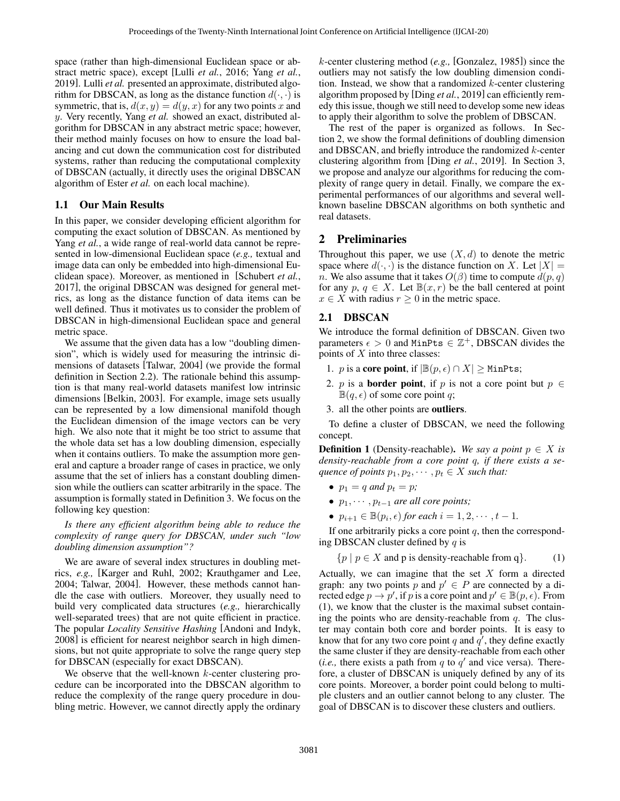space (rather than high-dimensional Euclidean space or abstract metric space), except [Lulli *et al.*[, 2016;](#page-6-10) [Yang](#page-6-9) *et al.*, [2019\]](#page-6-9). [Lulli](#page-6-10) *et al.* presented an approximate, distributed algorithm for DBSCAN, as long as the distance function  $d(\cdot, \cdot)$  is symmetric, that is,  $d(x, y) = d(y, x)$  for any two points x and y. Very recently, [Yang](#page-6-9) *et al.* showed an exact, distributed algorithm for DBSCAN in any abstract metric space; however, their method mainly focuses on how to ensure the load balancing and cut down the communication cost for distributed systems, rather than reducing the computational complexity of DBSCAN (actually, it directly uses the original DBSCAN algorithm of [Ester](#page-6-1) *et al.* on each local machine).

#### 1.1 Our Main Results

In this paper, we consider developing efficient algorithm for computing the exact solution of DBSCAN. As mentioned by [Yang](#page-6-9) *et al.*, a wide range of real-world data cannot be represented in low-dimensional Euclidean space (*e.g.,* textual and image data can only be embedded into high-dimensional Euclidean space). Moreover, as mentioned in [\[Schubert](#page-6-4) *et al.*, [2017\]](#page-6-4), the original DBSCAN was designed for general metrics, as long as the distance function of data items can be well defined. Thus it motivates us to consider the problem of DBSCAN in high-dimensional Euclidean space and general metric space.

We assume that the given data has a low "doubling dimension", which is widely used for measuring the intrinsic dimensions of datasets [\[Talwar, 2004\]](#page-6-12) (we provide the formal definition in Section [2.2\)](#page-2-0). The rationale behind this assumption is that many real-world datasets manifest low intrinsic dimensions [\[Belkin, 2003\]](#page-6-13). For example, image sets usually can be represented by a low dimensional manifold though the Euclidean dimension of the image vectors can be very high. We also note that it might be too strict to assume that the whole data set has a low doubling dimension, especially when it contains outliers. To make the assumption more general and capture a broader range of cases in practice, we only assume that the set of inliers has a constant doubling dimension while the outliers can scatter arbitrarily in the space. The assumption is formally stated in Definition [3.](#page-2-1) We focus on the following key question:

*Is there any efficient algorithm being able to reduce the complexity of range query for DBSCAN, under such "low doubling dimension assumption"?*

We are aware of several index structures in doubling metrics, *e.g.,* [\[Karger and Ruhl, 2002;](#page-6-14) [Krauthgamer and Lee,](#page-6-15) [2004;](#page-6-15) [Talwar, 2004\]](#page-6-12). However, these methods cannot handle the case with outliers. Moreover, they usually need to build very complicated data structures (*e.g.,* hierarchically well-separated trees) that are not quite efficient in practice. The popular *Locality Sensitive Hashing* [\[Andoni and Indyk,](#page-6-16) [2008\]](#page-6-16) is efficient for nearest neighbor search in high dimensions, but not quite appropriate to solve the range query step for DBSCAN (especially for exact DBSCAN).

We observe that the well-known  $k$ -center clustering procedure can be incorporated into the DBSCAN algorithm to reduce the complexity of the range query procedure in doubling metric. However, we cannot directly apply the ordinary k-center clustering method (*e.g.,* [\[Gonzalez, 1985\]](#page-6-17)) since the outliers may not satisfy the low doubling dimension condition. Instead, we show that a randomized  $k$ -center clustering algorithm proposed by [Ding *et al.*[, 2019\]](#page-6-18) can efficiently remedy this issue, though we still need to develop some new ideas to apply their algorithm to solve the problem of DBSCAN.

The rest of the paper is organized as follows. In Section [2,](#page-1-1) we show the formal definitions of doubling dimension and DBSCAN, and briefly introduce the randomized k-center clustering algorithm from [Ding *et al.*[, 2019\]](#page-6-18). In Section [3,](#page-2-2) we propose and analyze our algorithms for reducing the complexity of range query in detail. Finally, we compare the experimental performances of our algorithms and several wellknown baseline DBSCAN algorithms on both synthetic and real datasets.

## <span id="page-1-1"></span>2 Preliminaries

Throughout this paper, we use  $(X, d)$  to denote the metric space where  $d(\cdot, \cdot)$  is the distance function on X. Let  $|X| =$ *n*. We also assume that it takes  $O(\beta)$  time to compute  $d(p, q)$ for any  $p, q \in X$ . Let  $\mathbb{B}(x,r)$  be the ball centered at point  $x \in X$  with radius  $r \geq 0$  in the metric space.

## <span id="page-1-0"></span>2.1 DBSCAN

We introduce the formal definition of DBSCAN. Given two parameters  $\epsilon > 0$  and MinPts  $\in \mathbb{Z}^+$ , DBSCAN divides the points of  $X$  into three classes:

- 1. p is a core point, if  $|\mathbb{B}(p,\epsilon) \cap X| \geq$  MinPts;
- 2. p is a **border point**, if p is not a core point but  $p \in$  $\mathbb{B}(q, \epsilon)$  of some core point q;
- 3. all the other points are outliers.

To define a cluster of DBSCAN, we need the following concept.

**Definition 1** (Density-reachable). We say a point  $p \in X$  is *density-reachable from a core point* q*, if there exists a sequence of points*  $p_1, p_2, \cdots, p_t \in X$  *such that:* 

- $p_1 = q$  *and*  $p_t = p$ ;
- $p_1, \cdots, p_{t-1}$  *are all core points;*
- $p_{i+1} \in \mathbb{B}(p_i, \epsilon)$  for each  $i = 1, 2, \cdots, t 1$ .

If one arbitrarily picks a core point  $q$ , then the corresponding DBSCAN cluster defined by  $q$  is

<span id="page-1-2"></span> $\{p \mid p \in X \text{ and } p \text{ is density-reachable from } q\}.$  (1)

Actually, we can imagine that the set  $X$  form a directed graph: any two points p and  $p' \in P$  are connected by a directed edge  $p \to p'$ , if p is a core point and  $p' \in \mathbb{B}(p, \epsilon)$ . From [\(1\)](#page-1-2), we know that the cluster is the maximal subset containing the points who are density-reachable from  $q$ . The cluster may contain both core and border points. It is easy to know that for any two core point q and  $q'$ , they define exactly the same cluster if they are density-reachable from each other (*i.e.*, there exists a path from  $q$  to  $q'$  and vice versa). Therefore, a cluster of DBSCAN is uniquely defined by any of its core points. Moreover, a border point could belong to multiple clusters and an outlier cannot belong to any cluster. The goal of DBSCAN is to discover these clusters and outliers.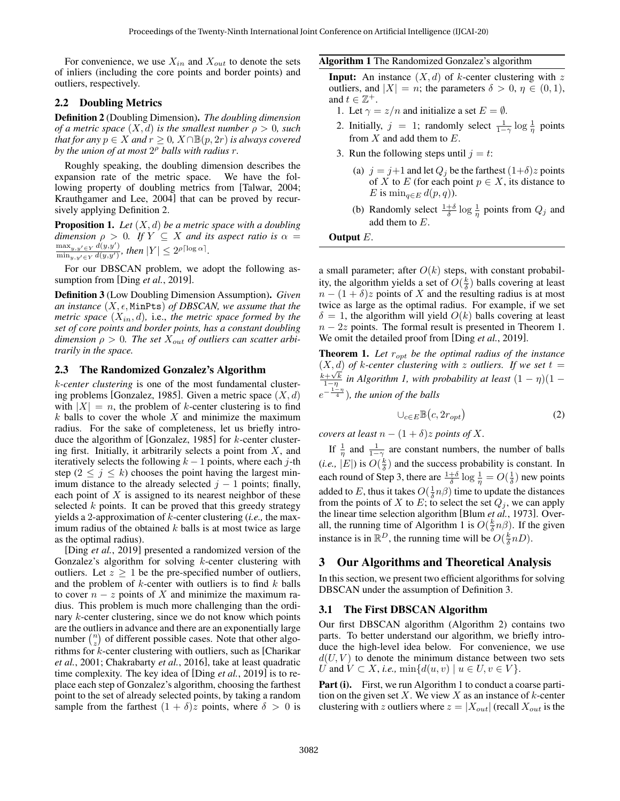For convenience, we use  $X_{in}$  and  $X_{out}$  to denote the sets of inliers (including the core points and border points) and outliers, respectively.

## <span id="page-2-0"></span>2.2 Doubling Metrics

<span id="page-2-3"></span>Definition 2 (Doubling Dimension). *The doubling dimension of a metric space*  $(X, d)$  *is the smallest number*  $\rho > 0$ *, such that for any*  $p \in X$  *and*  $r \geq 0$ ,  $X \cap \mathbb{B}(p, 2r)$  *is always covered by the union of at most* 2 <sup>ρ</sup> *balls with radius* r*.*

Roughly speaking, the doubling dimension describes the expansion rate of the metric space. We have the following property of doubling metrics from [\[Talwar, 2004;](#page-6-12) [Krauthgamer and Lee, 2004\]](#page-6-15) that can be proved by recursively applying Definition [2.](#page-2-3)

<span id="page-2-6"></span>Proposition 1. *Let* (X, d) *be a metric space with a doubling dimension*  $\rho > 0$ *. If*  $Y \subseteq X$  *and its aspect ratio is*  $\alpha =$  $\max_{y,y'\in Y} d(y,y')$  $\frac{\max_{y,y'\in Y}a(y,y')}{\min_{y,y'\in Y}d(y,y')},$  then  $|Y|\leq 2^{\rho\lceil\log\alpha\rceil}$ .

For our DBSCAN problem, we adopt the following assumption from [Ding *et al.*[, 2019\]](#page-6-18).

<span id="page-2-1"></span>Definition 3 (Low Doubling Dimension Assumption). *Given an instance*  $(X, \epsilon, \text{MinPts})$  *of DBSCAN, we assume that the metric space*  $(X_{in}, d)$ , i.e., *the metric space formed by the set of core points and border points, has a constant doubling* dimension  $\rho > 0$ . The set  $X_{out}$  of outliers can scatter arbi*trarily in the space.*

#### 2.3 The Randomized Gonzalez's Algorithm

k*-center clustering* is one of the most fundamental cluster-ing problems [\[Gonzalez, 1985\]](#page-6-17). Given a metric space  $(X, d)$ with  $|X| = n$ , the problem of k-center clustering is to find  $k$  balls to cover the whole  $X$  and minimize the maximum radius. For the sake of completeness, let us briefly introduce the algorithm of [\[Gonzalez, 1985\]](#page-6-17) for k-center clustering first. Initially, it arbitrarily selects a point from  $X$ , and iteratively selects the following  $k - 1$  points, where each j-th step ( $2 \le j \le k$ ) chooses the point having the largest minimum distance to the already selected  $j - 1$  points; finally, each point of  $X$  is assigned to its nearest neighbor of these selected  $k$  points. It can be proved that this greedy strategy yields a 2-approximation of k-center clustering (*i.e.,* the maximum radius of the obtained  $k$  balls is at most twice as large as the optimal radius).

[Ding *et al.*[, 2019\]](#page-6-18) presented a randomized version of the Gonzalez's algorithm for solving  $k$ -center clustering with outliers. Let  $z \geq 1$  be the pre-specified number of outliers, and the problem of  $k$ -center with outliers is to find  $k$  balls to cover  $n - z$  points of X and minimize the maximum radius. This problem is much more challenging than the ordinary k-center clustering, since we do not know which points are the outliers in advance and there are an exponentially large number  $\binom{n}{z}$  of different possible cases. Note that other algorithms for k-center clustering with outliers, such as [\[Charikar](#page-6-19) *et al.*[, 2001;](#page-6-19) [Chakrabarty](#page-6-20) *et al.*, 2016], take at least quadratic time complexity. The key idea of [Ding *et al.*[, 2019\]](#page-6-18) is to replace each step of Gonzalez's algorithm, choosing the farthest point to the set of already selected points, by taking a random sample from the farthest  $(1 + \delta)z$  points, where  $\delta > 0$  is

#### <span id="page-2-5"></span>Algorithm 1 The Randomized Gonzalez's algorithm

**Input:** An instance  $(X, d)$  of k-center clustering with z outliers, and  $|X| = n$ ; the parameters  $\delta > 0$ ,  $\eta \in (0, 1)$ , and  $t \in \mathbb{Z}^+$ .

- 1. Let  $\gamma = z/n$  and initialize a set  $E = \emptyset$ .
- 2. Initially,  $j = 1$ ; randomly select  $\frac{1}{1-\gamma} \log \frac{1}{\eta}$  points from  $X$  and add them to  $E$ .
- 3. Run the following steps until  $j = t$ :
	- (a)  $j = j+1$  and let  $Q_j$  be the farthest  $(1+\delta)z$  points of X to E (for each point  $p \in X$ , its distance to E is  $\min_{q \in E} d(p,q)$ ).
	- (b) Randomly select  $\frac{1+\delta}{\delta} \log \frac{1}{\eta}$  points from  $Q_j$  and add them to  $E$ .

#### Output E.

a small parameter; after  $O(k)$  steps, with constant probability, the algorithm yields a set of  $O(\frac{k}{\delta})$  balls covering at least  $n - (1 + \delta)z$  points of X and the resulting radius is at most twice as large as the optimal radius. For example, if we set  $\delta = 1$ , the algorithm will yield  $O(k)$  balls covering at least  $n - 2z$  points. The formal result is presented in Theorem [1.](#page-2-4) We omit the detailed proof from [Ding *et al.*[, 2019\]](#page-6-18).

<span id="page-2-4"></span>**Theorem 1.** Let  $r_{opt}$  be the optimal radius of the instance  $(X, d)$  *of k-center clustering with* z *outliers.* If we set  $t =$  $\frac{k+\sqrt{k}}{1-\eta}$  in Algorithm [1,](#page-2-5) with probability at least  $(1-\eta)(1-\eta)$  $e^{-\frac{1-\eta}{4}}$ ), the union of the balls

$$
\cup_{c \in E} \mathbb{B}\big(c, 2r_{opt}\big) \tag{2}
$$

*covers at least*  $n - (1 + \delta)z$  *points of* X.

If  $\frac{1}{\eta}$  and  $\frac{1}{1-\gamma}$  are constant numbers, the number of balls (*i.e.*,  $|E|$ ) is  $O(\frac{k}{\delta})$  and the success probability is constant. In each round of Step 3, there are  $\frac{1+\delta}{\delta} \log \frac{1}{\eta} = O(\frac{1}{\delta})$  new points added to E, thus it takes  $O(\frac{1}{\delta}n\beta)$  time to update the distances from the points of X to E; to select the set  $Q_j$ , we can apply the linear time selection algorithm [Blum *et al.*[, 1973\]](#page-6-21). Over-all, the running time of Algorithm [1](#page-2-5) is  $O(\frac{k}{\delta}n\beta)$ . If the given instance is in  $\mathbb{R}^D$ , the running time will be  $O(\frac{k}{\delta}nD)$ .

## <span id="page-2-2"></span>3 Our Algorithms and Theoretical Analysis

In this section, we present two efficient algorithms for solving DBSCAN under the assumption of Definition [3.](#page-2-1)

## <span id="page-2-7"></span>3.1 The First DBSCAN Algorithm

Our first DBSCAN algorithm (Algorithm [2\)](#page-3-0) contains two parts. To better understand our algorithm, we briefly introduce the high-level idea below. For convenience, we use  $d(U, V)$  to denote the minimum distance between two sets U and  $V \subset X$ , *i.e.*,  $\min\{d(u, v) \mid u \in U, v \in V\}$ .

Part (i). First, we run Algorithm [1](#page-2-5) to conduct a coarse partition on the given set  $X$ . We view  $X$  as an instance of  $k$ -center clustering with z outliers where  $z = |X_{out}|$  (recall  $X_{out}$  is the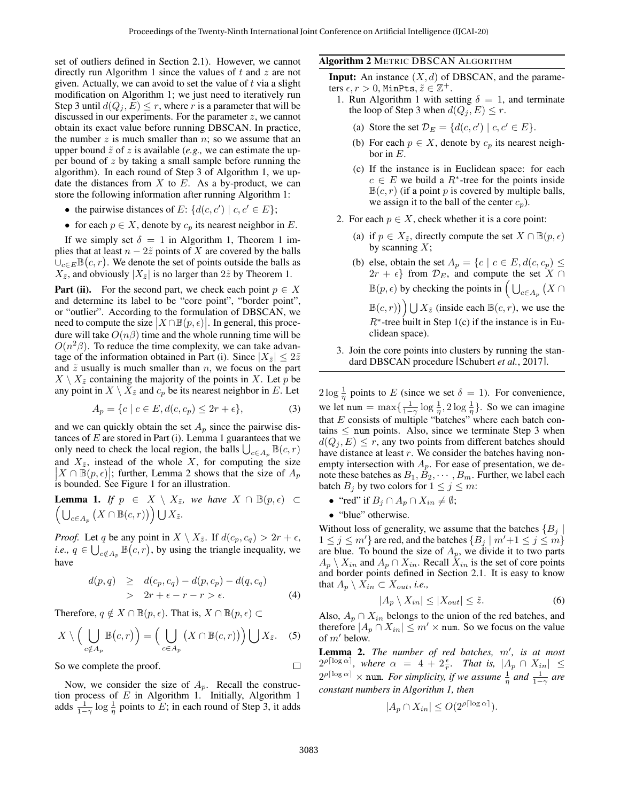set of outliers defined in Section [2.1\)](#page-1-0). However, we cannot directly run Algorithm [1](#page-2-5) since the values of  $t$  and  $z$  are not given. Actually, we can avoid to set the value of  $t$  via a slight modification on Algorithm [1;](#page-2-5) we just need to iteratively run Step 3 until  $d(Q_i, E) \leq r$ , where r is a parameter that will be discussed in our experiments. For the parameter  $z$ , we cannot obtain its exact value before running DBSCAN. In practice, the number  $z$  is much smaller than  $n$ ; so we assume that an upper bound  $\tilde{z}$  of z is available (*e.g.*, we can estimate the upper bound of  $z$  by taking a small sample before running the algorithm). In each round of Step 3 of Algorithm [1,](#page-2-5) we update the distances from  $X$  to  $E$ . As a by-product, we can store the following information after running Algorithm [1:](#page-2-5)

- the pairwise distances of E:  $\{d(c, c') \mid c, c' \in E\}$ ;
- for each  $p \in X$ , denote by  $c_p$  its nearest neighbor in E.

If we simply set  $\delta = 1$  $\delta = 1$  in Algorithm [1,](#page-2-5) Theorem 1 implies that at least  $n - 2\tilde{z}$  points of X are covered by the balls  $\bigcup_{c\in E} \mathbb{B}(c,r)$ . We denote the set of points outside the balls as  $X_{\tilde{z}}$ , and obviously  $|X_{\tilde{z}}|$  is no larger than  $2\tilde{z}$  by Theorem [1.](#page-2-4)

**Part (ii).** For the second part, we check each point  $p \in X$ and determine its label to be "core point", "border point", or "outlier". According to the formulation of DBSCAN, we need to compute the size  $|X \cap \mathbb{B}(p, \epsilon)|$ . In general, this procedure will take  $O(n\beta)$  time and the whole running time will be  $O(n^2\beta)$ . To reduce the time complexity, we can take advantage of the information obtained in Part (i). Since  $|X_{\tilde{z}}| \leq 2\tilde{z}$ and  $\tilde{z}$  usually is much smaller than n, we focus on the part  $X \setminus X_{\tilde{z}}$  containing the majority of the points in X. Let p be any point in  $X \setminus X_{\tilde{z}}$  and  $c_p$  be its nearest neighbor in E. Let

$$
A_p = \{c \mid c \in E, d(c, c_p) \le 2r + \epsilon\},\tag{3}
$$

and we can quickly obtain the set  $A_p$  since the pairwise distances of  $E$  are stored in Part (i). Lemma [1](#page-3-1) guarantees that we only need to check the local region, the balls  $\bigcup_{c \in A_p} \mathbb{B}(c, r)$ and  $X_{\tilde{z}}$ , instead of the whole X, for computing the size  $|X \cap \mathbb{B}(p, \epsilon)|$ ; further, Lemma [2](#page-3-2) shows that the size of  $A_p$ is bounded. See Figure [1](#page-4-0) for an illustration.

<span id="page-3-1"></span>**Lemma 1.** If 
$$
p \in X \setminus X_{\tilde{z}}
$$
, we have  $X \cap \mathbb{B}(p, \epsilon) \subset \left( \bigcup_{c \in A_p} (X \cap \mathbb{B}(c, r)) \right) \bigcup X_{\tilde{z}}$ .

*Proof.* Let q be any point in  $X \setminus X_{\tilde{z}}$ . If  $d(c_p, c_q) > 2r + \epsilon$ , *i.e.*,  $q \in \bigcup_{c \notin A_p} \mathbb{B}(c, r)$ , by using the triangle inequality, we have

$$
d(p,q) \geq d(c_p, c_q) - d(p, c_p) - d(q, c_q)
$$
  
> 2r + \epsilon - r - r > \epsilon. (4)

Therefore,  $q \notin X \cap \mathbb{B}(p, \epsilon)$ . That is,  $X \cap \mathbb{B}(p, \epsilon) \subset$ 

$$
X \setminus \Big(\bigcup_{c \notin A_p} \mathbb{B}(c, r)\Big) = \Big(\bigcup_{c \in A_p} \big(X \cap \mathbb{B}(c, r)\big)\Big) \bigcup X_{\tilde{z}}.\tag{5}
$$

So we complete the proof.

Now, we consider the size of  $A_p$ . Recall the construction process of  $E$  in Algorithm [1.](#page-2-5) Initially, Algorithm [1](#page-2-5) adds  $\frac{1}{1-\gamma} \log \frac{1}{\eta}$  points to E; in each round of Step 3, it adds

#### <span id="page-3-0"></span>Algorithm 2 METRIC DBSCAN ALGORITHM

**Input:** An instance  $(X, d)$  of DBSCAN, and the parameters  $\epsilon, r > 0$ , MinPts,  $\tilde{z} \in \mathbb{Z}^+$ .

- 1. Run Algorithm [1](#page-2-5) with setting  $\delta = 1$ , and terminate the loop of Step 3 when  $d(Q_j, E) \leq r$ .
	- (a) Store the set  $\mathcal{D}_E = \{d(c, c') \mid c, c' \in E\}.$
	- (b) For each  $p \in X$ , denote by  $c_p$  its nearest neighbor in  $E$ .
	- (c) If the instance is in Euclidean space: for each  $c \in E$  we build a  $R^*$ -tree for the points inside  $\mathbb{B}(c, r)$  (if a point p is covered by multiple balls, we assign it to the ball of the center  $c_p$ ).
- 2. For each  $p \in X$ , check whether it is a core point:
	- (a) if  $p \in X_{\tilde{z}}$ , directly compute the set  $X \cap \mathbb{B}(p, \epsilon)$ by scanning  $X$ ;
	- (b) else, obtain the set  $A_p = \{c \mid c \in E, d(c, c_p) \leq$  $2r + \epsilon$ } from  $\mathcal{D}_E$ , and compute the set  $X \cap$  $\mathbb{B}(p,\epsilon)$  by checking the points in  $\Big(\bigcup_{c\in A_p} (X\cap$  $\mathbb{B}(c,r)$   $\Big)$   $\bigcup X_{\tilde{z}}$  (inside each  $\mathbb{B}(c,r)$ , we use the  $R^*$ -tree built in Step 1(c) if the instance is in Euclidean space).
- 3. Join the core points into clusters by running the standard DBSCAN procedure [\[Schubert](#page-6-4) *et al.*, 2017].

 $2\log\frac{1}{\eta}$  points to E (since we set  $\delta = 1$ ). For convenience, we let num =  $\max\{\frac{1}{1-\gamma}\log\frac{1}{\eta}, 2\log\frac{1}{\eta}\}\.$  So we can imagine that  $E$  consists of multiple "batches" where each batch contains  $\leq$  num points. Also, since we terminate Step 3 when  $d(Q_i, E) \leq r$ , any two points from different batches should have distance at least  $r$ . We consider the batches having nonempty intersection with  $A_p$ . For ease of presentation, we denote these batches as  $B_1, B_2, \cdots, B_m$ . Further, we label each batch  $B_j$  by two colors for  $1 \leq j \leq m$ :

- "red" if  $B_j \cap A_p \cap X_{in} \neq \emptyset;$
- "blue" otherwise.

Without loss of generality, we assume that the batches  ${B_i}$  $1 \leq j \leq m'$  are red, and the batches  $\{B_i \mid m'+1 \leq j \leq m\}$ are blue. To bound the size of  $A_p$ , we divide it to two parts  $A_p \setminus X_{in}$  and  $A_p \cap X_{in}$ . Recall  $\hat{X}_{in}$  is the set of core points and border points defined in Section [2.1.](#page-1-0) It is easy to know that  $A_p \setminus X_{in} \subset X_{out}$ , *i.e.*,

$$
|A_p \setminus X_{in}| \le |X_{out}| \le \tilde{z}.\tag{6}
$$

Also,  $A_p \cap X_{in}$  belongs to the union of the red batches, and therefore  $|A_p \cap X_{in}| \leq m' \times \text{num}$ . So we focus on the value of  $m'$  below.

<span id="page-3-2"></span>Lemma 2. The number of red batches, m', is at most  $2^{\rho \lceil \log \alpha \rceil}$ , where  $\alpha = 4 + 2 \frac{\epsilon}{r}$ . That is,  $|A_p \cap X_{in}| \leq$  $2^{\rho \lceil \log \alpha \rceil} \times \text{num.}$  *For simplicity, if we assume*  $\frac{1}{\eta}$  *and*  $\frac{1}{1-\gamma}$  *are constant numbers in Algorithm [1,](#page-2-5) then*

$$
|A_p \cap X_{in}| \le O(2^{\rho \lceil \log \alpha \rceil}).
$$

 $\Box$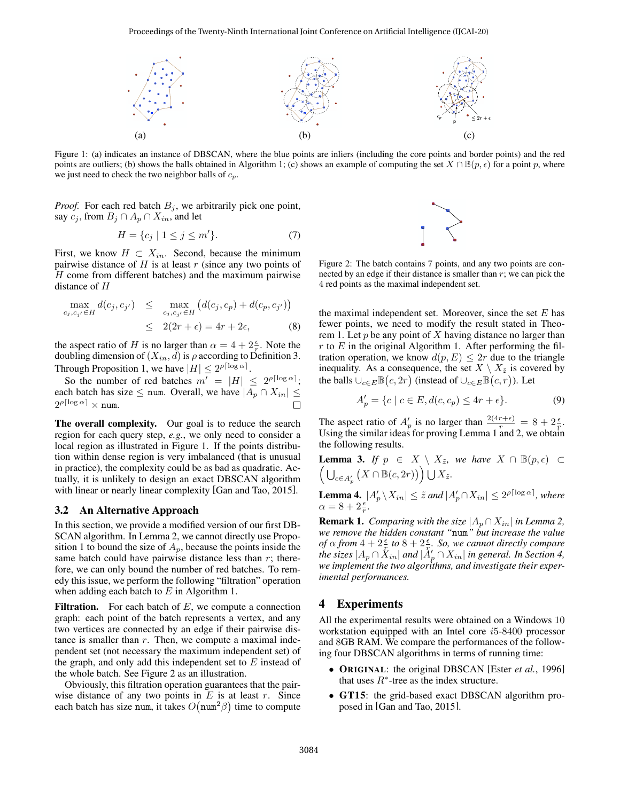<span id="page-4-0"></span>

Figure 1: (a) indicates an instance of DBSCAN, where the blue points are inliers (including the core points and border points) and the red points are outliers; (b) shows the balls obtained in Algorithm [1;](#page-2-5) (c) shows an example of computing the set  $X \cap \mathbb{B}(p, \epsilon)$  for a point p, where we just need to check the two neighbor balls of  $c_p$ .

*Proof.* For each red batch  $B_i$ , we arbitrarily pick one point, say  $c_j$ , from  $B_j \cap A_p \cap X_{in}$ , and let

$$
H = \{c_j \mid 1 \le j \le m'\}.\tag{7}
$$

First, we know  $H \subset X_{in}$ . Second, because the minimum pairwise distance of  $H$  is at least  $r$  (since any two points of H come from different batches) and the maximum pairwise distance of H

$$
\max_{c_j, c_{j'} \in H} d(c_j, c_{j'}) \leq \max_{c_j, c_{j'} \in H} (d(c_j, c_p) + d(c_p, c_{j'}))
$$
  
 
$$
\leq 2(2r + \epsilon) = 4r + 2\epsilon,
$$
 (8)

the aspect ratio of H is no larger than  $\alpha = 4 + 2\frac{\epsilon}{r}$ . Note the doubling dimension of  $(X_{in}, d)$  is  $\rho$  according to Definition [3.](#page-2-1) Through Proposition [1,](#page-2-6) we have  $|H| \leq 2^{\rho \lceil \log \alpha \rceil}$ .

So the number of red batches  $m' = |H| \leq 2^{\rho \lceil \log \alpha \rceil};$ each batch has size  $\leq$  num. Overall, we have  $|A_p \cap X_{in}| \leq$  $2^{\rho \lceil \log \alpha \rceil} \times \texttt{num}.$ 

The overall complexity. Our goal is to reduce the search region for each query step, *e.g.*, we only need to consider a local region as illustrated in Figure [1.](#page-4-0) If the points distribution within dense region is very imbalanced (that is unusual in practice), the complexity could be as bad as quadratic. Actually, it is unlikely to design an exact DBSCAN algorithm with linear or nearly linear complexity [\[Gan and Tao, 2015\]](#page-6-3).

#### <span id="page-4-3"></span>3.2 An Alternative Approach

In this section, we provide a modified version of our first DB-SCAN algorithm. In Lemma [2,](#page-3-2) we cannot directly use Propo-sition [1](#page-2-6) to bound the size of  $A_p$ , because the points inside the same batch could have pairwise distance less than  $r$ ; therefore, we can only bound the number of red batches. To remedy this issue, we perform the following "filtration" operation when adding each batch to  $E$  in Algorithm [1.](#page-2-5)

**Filtration.** For each batch of  $E$ , we compute a connection graph: each point of the batch represents a vertex, and any two vertices are connected by an edge if their pairwise distance is smaller than  $r$ . Then, we compute a maximal independent set (not necessary the maximum independent set) of the graph, and only add this independent set to  $E$  instead of the whole batch. See Figure [2](#page-4-1) as an illustration.

Obviously, this filtration operation guarantees that the pairwise distance of any two points in  $E$  is at least  $r$ . Since each batch has size num, it takes  $O(num^2 \beta)$  time to compute



<span id="page-4-1"></span>Figure 2: The batch contains 7 points, and any two points are connected by an edge if their distance is smaller than  $r$ ; we can pick the 4 red points as the maximal independent set.

the maximal independent set. Moreover, since the set  $E$  has fewer points, we need to modify the result stated in Theo-rem [1.](#page-2-4) Let  $p$  be any point of  $X$  having distance no larger than r to  $E$  in the original Algorithm [1.](#page-2-5) After performing the filtration operation, we know  $d(p, E) \leq 2r$  due to the triangle inequality. As a consequence, the set  $X \setminus X_{\tilde{z}}$  is covered by the balls  $\cup_{c \in E} \mathbb{B}(c, 2r)$  (instead of  $\cup_{c \in E} \mathbb{B}(c, r)$ ). Let

$$
A'_p = \{c \mid c \in E, d(c, c_p) \le 4r + \epsilon\}.
$$
\n<sup>(9)</sup>

The aspect ratio of  $A_p'$  is no larger than  $\frac{2(4r+\epsilon)}{r} = 8 + 2\frac{\epsilon}{r}$ . Using the similar ideas for proving Lemma [1](#page-3-1) and [2,](#page-3-2) we obtain the following results.

**Lemma 3.** *If*  $p \in X \setminus X_{\tilde{z}}$ *, we have*  $X \cap \mathbb{B}(p, \epsilon)$  ⊂  $\left(\bigcup_{c\in A_p'} (X\cap \mathbb{B}(c, 2r))\right)\bigcup X_{\tilde{z}}.$ 

**Lemma 4.**  $|A'_p \setminus X_{in}| \leq \tilde{z}$  and  $|A'_p \cap X_{in}| \leq 2^{\rho \lceil \log \alpha \rceil}$ , where  $\alpha = 8 + 2\frac{\epsilon}{r}.$ 

**Remark 1.** *Comparing with the size*  $|A_p \cap X_{in}|$  *in Lemma [2,](#page-3-2) we remove the hidden constant "*num*" but increase the value of*  $\alpha$  *from*  $4 + 2\frac{\epsilon}{r}$  *to*  $8 + 2\frac{\epsilon}{r}$ *, So, we cannot directly compare the sizes*  $|A_p \cap X_{in}|$  *and*  $|A'_p \cap X_{in}|$  *in general. In Section [4,](#page-4-2) we implement the two algorithms, and investigate their experimental performances.*

## <span id="page-4-2"></span>4 Experiments

All the experimental results were obtained on a Windows 10 workstation equipped with an Intel core i5-8400 processor and 8GB RAM. We compare the performances of the following four DBSCAN algorithms in terms of running time:

- **ORIGINAL:** the original DBSCAN [Ester *et al.*[, 1996\]](#page-6-1) that uses  $R^*$ -tree as the index structure.
- GT15: the grid-based exact DBSCAN algorithm proposed in [\[Gan and Tao, 2015\]](#page-6-3).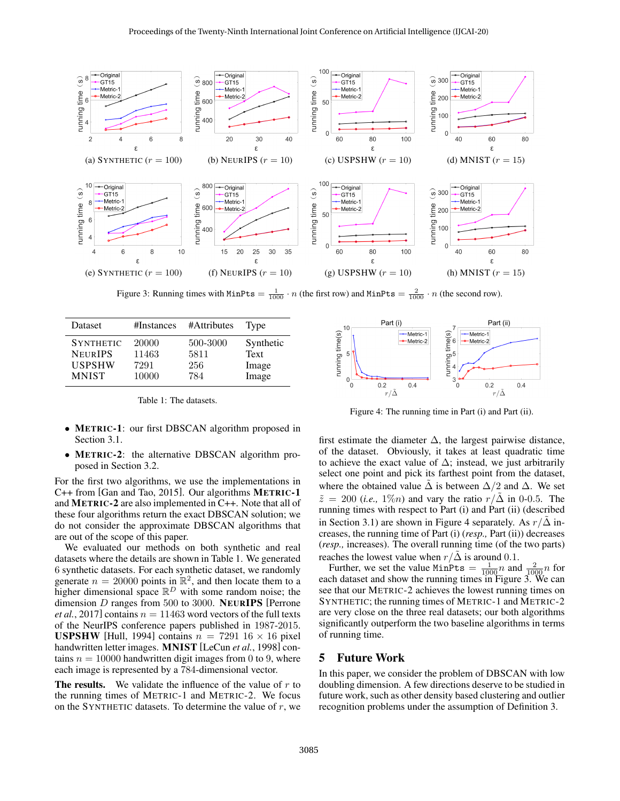<span id="page-5-2"></span>

Figure 3: Running times with  $MinPts = \frac{1}{1000} \cdot n$  (the first row) and  $MinPts = \frac{2}{1000} \cdot n$  (the second row).

<span id="page-5-0"></span>

| Dataset          | #Instances | #Attributes | Type      |
|------------------|------------|-------------|-----------|
| <b>SYNTHETIC</b> | 20000      | 500-3000    | Synthetic |
| <b>NEURIPS</b>   | 11463      | 5811        | Text      |
| <b>USPSHW</b>    | 7291       | 256         | Image     |
| <b>MNIST</b>     | 10000      | 784         | Image     |

Table 1: The datasets.

- METRIC-1: our first DBSCAN algorithm proposed in Section [3.1.](#page-2-7)
- METRIC-2: the alternative DBSCAN algorithm proposed in Section [3.2.](#page-4-3)

For the first two algorithms, we use the implementations in C++ from [\[Gan and Tao, 2015\]](#page-6-3). Our algorithms METRIC-1 and METRIC-2 are also implemented in C++. Note that all of these four algorithms return the exact DBSCAN solution; we do not consider the approximate DBSCAN algorithms that are out of the scope of this paper.

We evaluated our methods on both synthetic and real datasets where the details are shown in Table [1.](#page-5-0) We generated 6 synthetic datasets. For each synthetic dataset, we randomly generate  $n = 20000$  points in  $\mathbb{R}^2$ , and then locate them to a higher dimensional space  $\mathbb{R}^D$  with some random noise; the dimension D ranges from 500 to 3000. NEURIPS [\[Perrone](#page-6-22) *et al.*[, 2017\]](#page-6-22) contains  $n = 11463$  word vectors of the full texts of the NeurIPS conference papers published in 1987-2015. **USPSHW** [\[Hull, 1994\]](#page-6-23) contains  $n = 7291$  16  $\times$  16 pixel handwritten letter images. MNIST [\[LeCun](#page-6-24) *et al.*, 1998] contains  $n = 10000$  handwritten digit images from 0 to 9, where each image is represented by a 784-dimensional vector.

**The results.** We validate the influence of the value of  $r$  to the running times of METRIC-1 and METRIC-2. We focus on the SYNTHETIC datasets. To determine the value of  $r$ , we

<span id="page-5-1"></span>

Figure 4: The running time in Part (i) and Part (ii).

first estimate the diameter  $\Delta$ , the largest pairwise distance, of the dataset. Obviously, it takes at least quadratic time to achieve the exact value of  $\Delta$ ; instead, we just arbitrarily select one point and pick its farthest point from the dataset, where the obtained value  $\Delta$  is between  $\Delta/2$  and  $\Delta$ . We set  $\tilde{z} = 200$  (*i.e.*, 1\%/<sub>0</sub>) and vary the ratio  $r/\Delta$  in 0-0.5. The running times with respect to Part (i) and Part (ii) (described in Section [3.1\)](#page-2-7) are shown in Figure [4](#page-5-1) separately. As  $r/\Delta$  increases, the running time of Part (i) (*resp.,* Part (ii)) decreases (*resp.,* increases). The overall running time (of the two parts) reaches the lowest value when  $r/\Delta$  is around 0.1.

Further, we set the value MinPts  $=$   $\frac{1}{1000}n$  and  $\frac{2}{1000}n$  for each dataset and show the running times in Figure [3.](#page-5-2) We can see that our METRIC-2 achieves the lowest running times on SYNTHETIC; the running times of METRIC-1 and METRIC-2 are very close on the three real datasets; our both algorithms significantly outperform the two baseline algorithms in terms of running time.

## 5 Future Work

In this paper, we consider the problem of DBSCAN with low doubling dimension. A few directions deserve to be studied in future work, such as other density based clustering and outlier recognition problems under the assumption of Definition [3.](#page-2-1)